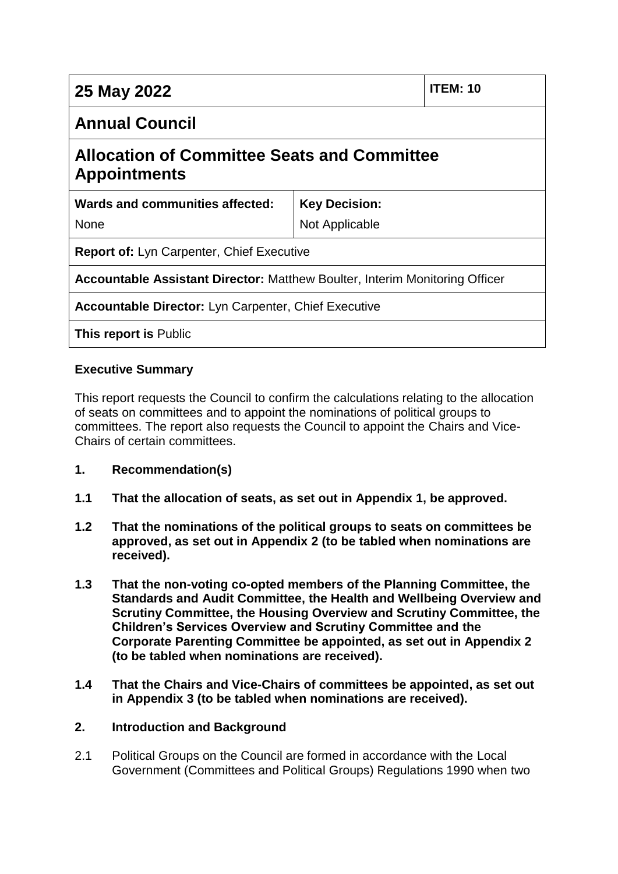| <b>ITEM: 10</b><br>25 May 2022                                                     |                |  |  |  |
|------------------------------------------------------------------------------------|----------------|--|--|--|
| <b>Annual Council</b>                                                              |                |  |  |  |
| <b>Allocation of Committee Seats and Committee</b><br><b>Appointments</b>          |                |  |  |  |
| Wards and communities affected:<br><b>Key Decision:</b>                            |                |  |  |  |
| <b>None</b>                                                                        | Not Applicable |  |  |  |
| <b>Report of: Lyn Carpenter, Chief Executive</b>                                   |                |  |  |  |
| <b>Accountable Assistant Director: Matthew Boulter, Interim Monitoring Officer</b> |                |  |  |  |
| <b>Accountable Director: Lyn Carpenter, Chief Executive</b>                        |                |  |  |  |
| <b>This report is Public</b>                                                       |                |  |  |  |

## **Executive Summary**

This report requests the Council to confirm the calculations relating to the allocation of seats on committees and to appoint the nominations of political groups to committees. The report also requests the Council to appoint the Chairs and Vice-Chairs of certain committees.

- **1. Recommendation(s)**
- **1.1 That the allocation of seats, as set out in Appendix 1, be approved.**
- **1.2 That the nominations of the political groups to seats on committees be approved, as set out in Appendix 2 (to be tabled when nominations are received).**
- **1.3 That the non-voting co-opted members of the Planning Committee, the Standards and Audit Committee, the Health and Wellbeing Overview and Scrutiny Committee, the Housing Overview and Scrutiny Committee, the Children's Services Overview and Scrutiny Committee and the Corporate Parenting Committee be appointed, as set out in Appendix 2 (to be tabled when nominations are received).**
- **1.4 That the Chairs and Vice-Chairs of committees be appointed, as set out in Appendix 3 (to be tabled when nominations are received).**

### **2. Introduction and Background**

2.1 Political Groups on the Council are formed in accordance with the Local Government (Committees and Political Groups) Regulations 1990 when two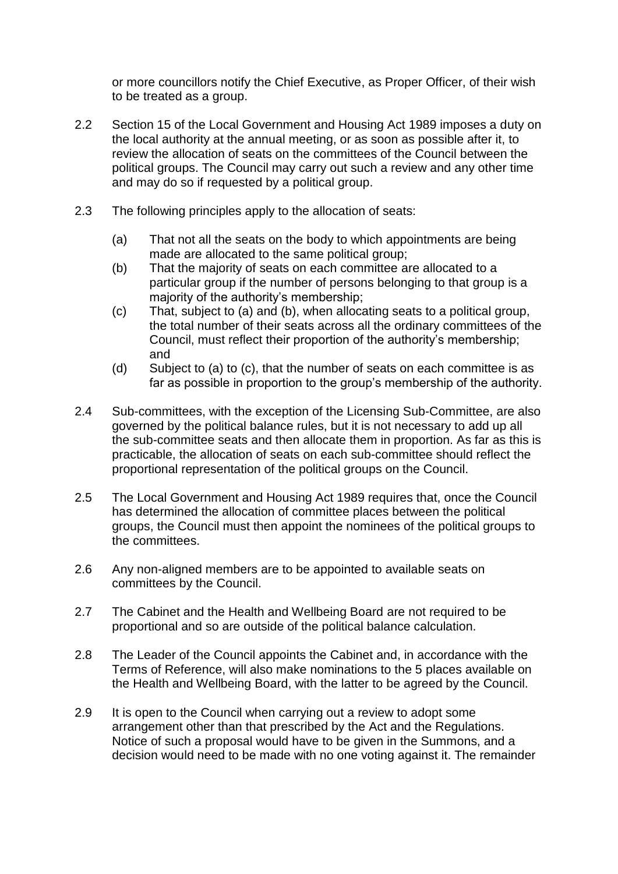or more councillors notify the Chief Executive, as Proper Officer, of their wish to be treated as a group.

- 2.2 Section 15 of the Local Government and Housing Act 1989 imposes a duty on the local authority at the annual meeting, or as soon as possible after it, to review the allocation of seats on the committees of the Council between the political groups. The Council may carry out such a review and any other time and may do so if requested by a political group.
- 2.3 The following principles apply to the allocation of seats:
	- (a) That not all the seats on the body to which appointments are being made are allocated to the same political group;
	- (b) That the majority of seats on each committee are allocated to a particular group if the number of persons belonging to that group is a majority of the authority's membership;
	- (c) That, subject to (a) and (b), when allocating seats to a political group, the total number of their seats across all the ordinary committees of the Council, must reflect their proportion of the authority's membership; and
	- (d) Subject to (a) to (c), that the number of seats on each committee is as far as possible in proportion to the group's membership of the authority.
- 2.4 Sub-committees, with the exception of the Licensing Sub-Committee, are also governed by the political balance rules, but it is not necessary to add up all the sub-committee seats and then allocate them in proportion. As far as this is practicable, the allocation of seats on each sub-committee should reflect the proportional representation of the political groups on the Council.
- 2.5 The Local Government and Housing Act 1989 requires that, once the Council has determined the allocation of committee places between the political groups, the Council must then appoint the nominees of the political groups to the committees.
- 2.6 Any non-aligned members are to be appointed to available seats on committees by the Council.
- 2.7 The Cabinet and the Health and Wellbeing Board are not required to be proportional and so are outside of the political balance calculation.
- 2.8 The Leader of the Council appoints the Cabinet and, in accordance with the Terms of Reference, will also make nominations to the 5 places available on the Health and Wellbeing Board, with the latter to be agreed by the Council.
- 2.9 It is open to the Council when carrying out a review to adopt some arrangement other than that prescribed by the Act and the Regulations. Notice of such a proposal would have to be given in the Summons, and a decision would need to be made with no one voting against it. The remainder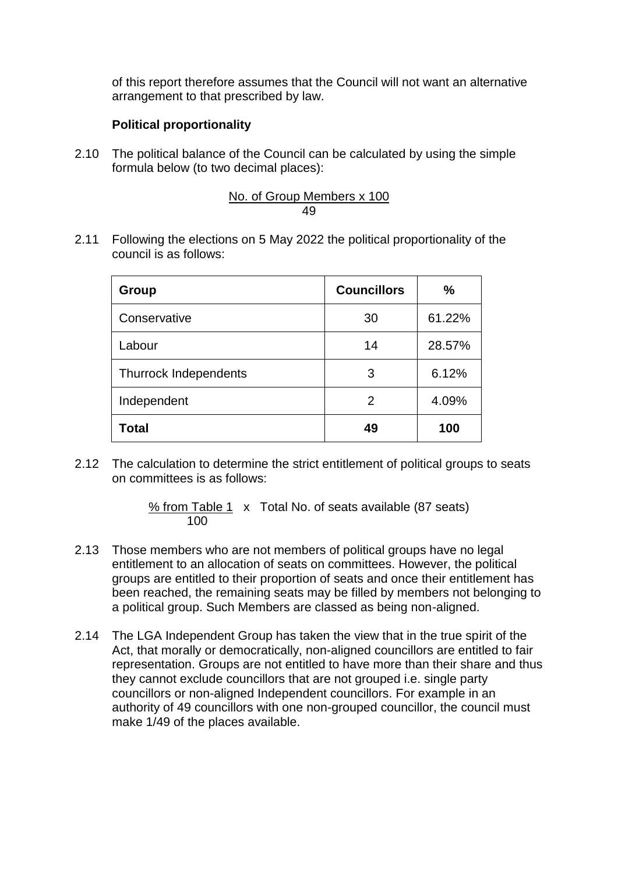of this report therefore assumes that the Council will not want an alternative arrangement to that prescribed by law.

## **Political proportionality**

2.10 The political balance of the Council can be calculated by using the simple formula below (to two decimal places):

No. of Group Members x 100 49

2.11 Following the elections on 5 May 2022 the political proportionality of the council is as follows:

| Group                        | <b>Councillors</b> | $\frac{0}{0}$ |
|------------------------------|--------------------|---------------|
| Conservative                 | 30                 | 61.22%        |
| Labour                       | 14                 | 28.57%        |
| <b>Thurrock Independents</b> | 3                  | 6.12%         |
| Independent                  | 2                  | 4.09%         |
| Total                        | 49                 | 100           |

2.12 The calculation to determine the strict entitlement of political groups to seats on committees is as follows:

> % from Table 1 x Total No. of seats available (87 seats) 100

- 2.13 Those members who are not members of political groups have no legal entitlement to an allocation of seats on committees. However, the political groups are entitled to their proportion of seats and once their entitlement has been reached, the remaining seats may be filled by members not belonging to a political group. Such Members are classed as being non-aligned.
- 2.14 The LGA Independent Group has taken the view that in the true spirit of the Act, that morally or democratically, non-aligned councillors are entitled to fair representation. Groups are not entitled to have more than their share and thus they cannot exclude councillors that are not grouped i.e. single party councillors or non-aligned Independent councillors. For example in an authority of 49 councillors with one non-grouped councillor, the council must make 1/49 of the places available.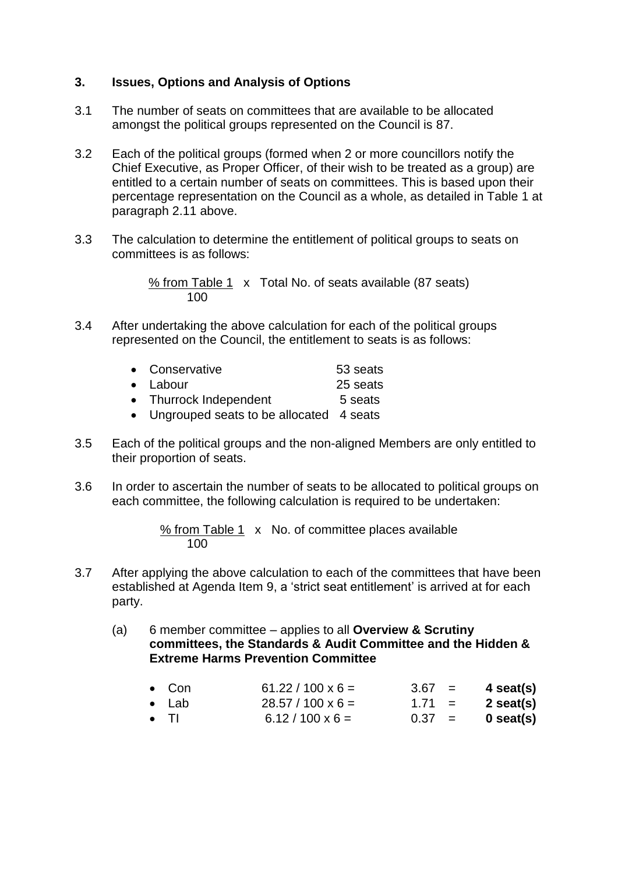## **3. Issues, Options and Analysis of Options**

- 3.1 The number of seats on committees that are available to be allocated amongst the political groups represented on the Council is 87.
- 3.2 Each of the political groups (formed when 2 or more councillors notify the Chief Executive, as Proper Officer, of their wish to be treated as a group) are entitled to a certain number of seats on committees. This is based upon their percentage representation on the Council as a whole, as detailed in Table 1 at paragraph 2.11 above.
- 3.3 The calculation to determine the entitlement of political groups to seats on committees is as follows:

% from Table 1 x Total No. of seats available (87 seats) 100

3.4 After undertaking the above calculation for each of the political groups represented on the Council, the entitlement to seats is as follows:

| • Conservative                            | 53 seats |
|-------------------------------------------|----------|
| $\bullet$ Labour                          | 25 seats |
| • Thurrock Independent                    | 5 seats  |
| • Ungrouped seats to be allocated 4 seats |          |

- 3.5 Each of the political groups and the non-aligned Members are only entitled to their proportion of seats.
- 3.6 In order to ascertain the number of seats to be allocated to political groups on each committee, the following calculation is required to be undertaken:

% from Table 1 x No. of committee places available 100

- 3.7 After applying the above calculation to each of the committees that have been established at Agenda Item 9, a 'strict seat entitlement' is arrived at for each party.
	- (a) 6 member committee applies to all **Overview & Scrutiny committees, the Standards & Audit Committee and the Hidden & Extreme Harms Prevention Committee**

| $\bullet$ Con | $61.22 / 100 \times 6 =$ |          | $3.67 = 4$ seat(s) |
|---------------|--------------------------|----------|--------------------|
| ● Lab         | $28.57 / 100 \times 6 =$ | $1.71 =$ | 2 seat(s)          |
| $\bullet$ TI  | $6.12 / 100 \times 6 =$  | $0.37 =$ | 0 seat(s)          |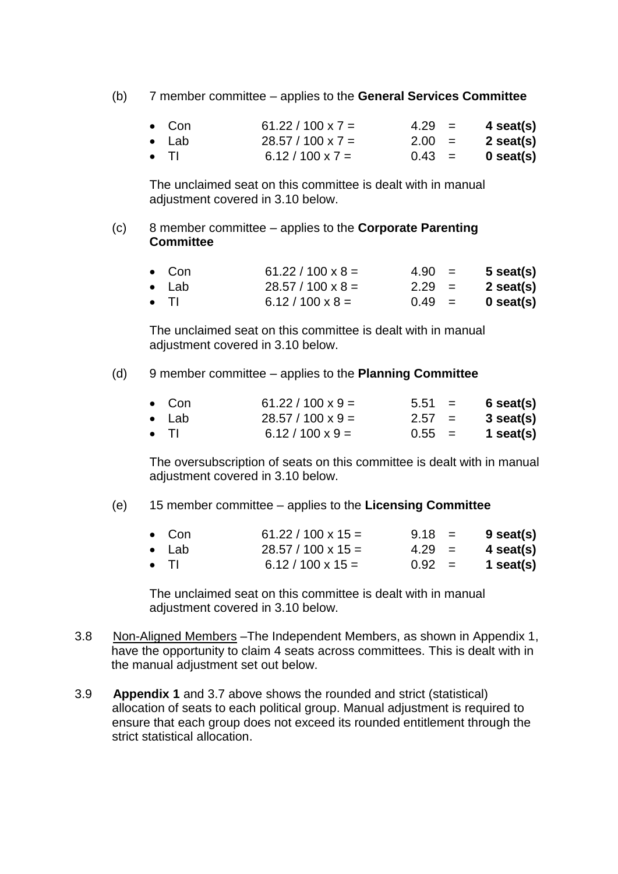(b) 7 member committee – applies to the **General Services Committee**

| $\bullet$ Con | $61.22 / 100 \times 7 =$ | $4.29 =$ | 4 seat(s)   |
|---------------|--------------------------|----------|-------------|
| $\bullet$ Lab | $28.57 / 100 \times 7 =$ | $2.00 =$ | 2 seat(s)   |
| $\bullet$ TI  | $6.12 / 100 \times 7 =$  | $0.43 =$ | $0$ seat(s) |

The unclaimed seat on this committee is dealt with in manual adjustment covered in 3.10 below.

## (c) 8 member committee – applies to the **Corporate Parenting Committee**

| $\bullet$ Con | $61.22 / 100 \times 8 =$ | $4.90 =$ | $5$ seat(s) |
|---------------|--------------------------|----------|-------------|
| $\bullet$ Lab | $28.57 / 100 \times 8 =$ | $2.29 =$ | 2 seat(s)   |
| $\bullet$ TI  | $6.12 / 100 \times 8 =$  | $0.49 =$ | $0$ seat(s) |

The unclaimed seat on this committee is dealt with in manual adjustment covered in 3.10 below.

#### (d) 9 member committee – applies to the **Planning Committee**

| $\bullet$ Con | $61.22 / 100 \times 9 =$ | $5.51 =$ | $6$ seat(s) |
|---------------|--------------------------|----------|-------------|
| ● Lab         | $28.57 / 100 \times 9 =$ | $2.57 =$ | 3 seat(s)   |
| $\bullet$ TI  | $6.12 / 100 \times 9 =$  | $0.55 =$ | 1 seat(s)   |

The oversubscription of seats on this committee is dealt with in manual adjustment covered in 3.10 below.

#### (e) 15 member committee – applies to the **Licensing Committee**

| $\bullet$ Con | $61.22 / 100 \times 15 =$ | $9.18 =$ | $9$ seat(s) |
|---------------|---------------------------|----------|-------------|
| $\bullet$ Lab | $28.57 / 100 \times 15 =$ | $4.29 =$ | 4 seat(s)   |
| $\bullet$ TI  | $6.12 / 100 \times 15 =$  | $0.92 =$ | 1 seat(s)   |

The unclaimed seat on this committee is dealt with in manual adiustment covered in 3.10 below.

- 3.8 Non-Aligned Members –The Independent Members, as shown in Appendix 1, have the opportunity to claim 4 seats across committees. This is dealt with in the manual adjustment set out below.
- 3.9 **Appendix 1** and 3.7 above shows the rounded and strict (statistical) allocation of seats to each political group. Manual adjustment is required to ensure that each group does not exceed its rounded entitlement through the strict statistical allocation.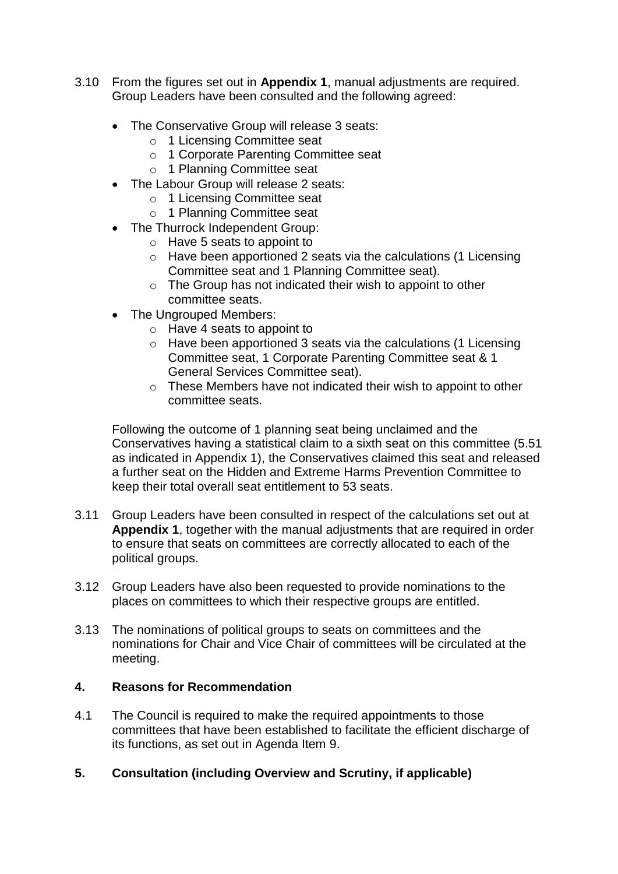- 3.10 From the figures set out in **Appendix 1**, manual adjustments are required. Group Leaders have been consulted and the following agreed:
	- The Conservative Group will release 3 seats:
		- o 1 Licensing Committee seat
		- o 1 Corporate Parenting Committee seat
		- o 1 Planning Committee seat
	- The Labour Group will release 2 seats:
		- o 1 Licensing Committee seat
		- o 1 Planning Committee seat
	- The Thurrock Independent Group:
		- o Have 5 seats to appoint to
		- o Have been apportioned 2 seats via the calculations (1 Licensing Committee seat and 1 Planning Committee seat).
		- o The Group has not indicated their wish to appoint to other committee seats.
	- The Ungrouped Members:
		- o Have 4 seats to appoint to
		- o Have been apportioned 3 seats via the calculations (1 Licensing Committee seat, 1 Corporate Parenting Committee seat & 1 General Services Committee seat).
		- o These Members have not indicated their wish to appoint to other committee seats.

Following the outcome of 1 planning seat being unclaimed and the Conservatives having a statistical claim to a sixth seat on this committee (5.51 as indicated in Appendix 1), the Conservatives claimed this seat and released a further seat on the Hidden and Extreme Harms Prevention Committee to keep their total overall seat entitlement to 53 seats.

- 3.11 Group Leaders have been consulted in respect of the calculations set out at **Appendix 1**, together with the manual adjustments that are required in order to ensure that seats on committees are correctly allocated to each of the political groups.
- 3.12 Group Leaders have also been requested to provide nominations to the places on committees to which their respective groups are entitled.
- 3.13 The nominations of political groups to seats on committees and the nominations for Chair and Vice Chair of committees will be circulated at the meeting.

### **4. Reasons for Recommendation**

- 4.1 The Council is required to make the required appointments to those committees that have been established to facilitate the efficient discharge of its functions, as set out in Agenda Item 9.
- **5. Consultation (including Overview and Scrutiny, if applicable)**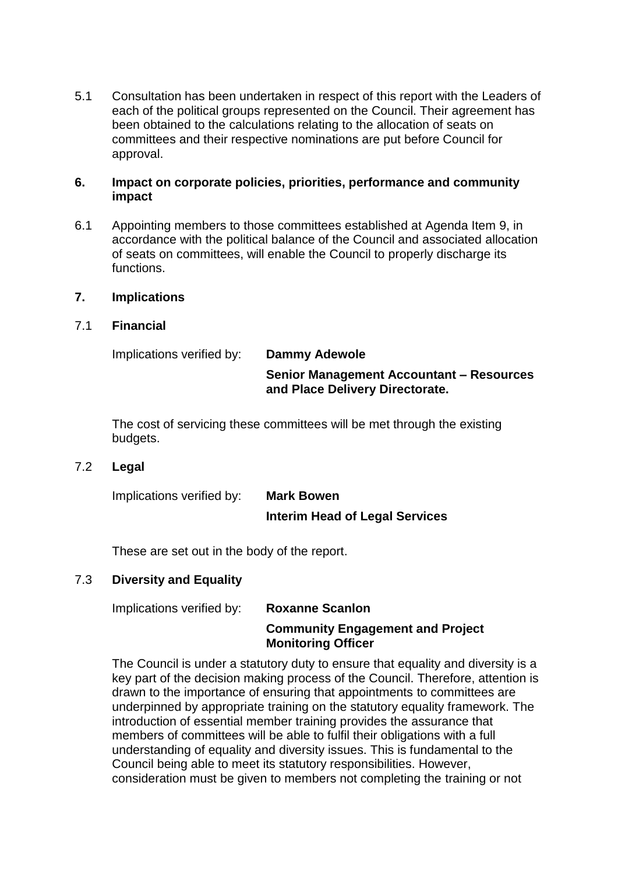5.1 Consultation has been undertaken in respect of this report with the Leaders of each of the political groups represented on the Council. Their agreement has been obtained to the calculations relating to the allocation of seats on committees and their respective nominations are put before Council for approval.

#### **6. Impact on corporate policies, priorities, performance and community impact**

6.1 Appointing members to those committees established at Agenda Item 9, in accordance with the political balance of the Council and associated allocation of seats on committees, will enable the Council to properly discharge its functions.

#### **7. Implications**

#### 7.1 **Financial**

| Implications verified by: | Dammy Adewole                                                                      |
|---------------------------|------------------------------------------------------------------------------------|
|                           | <b>Senior Management Accountant - Resources</b><br>and Place Delivery Directorate. |

The cost of servicing these committees will be met through the existing budgets.

#### 7.2 **Legal**

| Implications verified by: | <b>Mark Bowen</b>                     |
|---------------------------|---------------------------------------|
|                           | <b>Interim Head of Legal Services</b> |

These are set out in the body of the report.

### 7.3 **Diversity and Equality**

Implications verified by: **Roxanne Scanlon**

## **Community Engagement and Project Monitoring Officer**

The Council is under a statutory duty to ensure that equality and diversity is a key part of the decision making process of the Council. Therefore, attention is drawn to the importance of ensuring that appointments to committees are underpinned by appropriate training on the statutory equality framework. The introduction of essential member training provides the assurance that members of committees will be able to fulfil their obligations with a full understanding of equality and diversity issues. This is fundamental to the Council being able to meet its statutory responsibilities. However, consideration must be given to members not completing the training or not